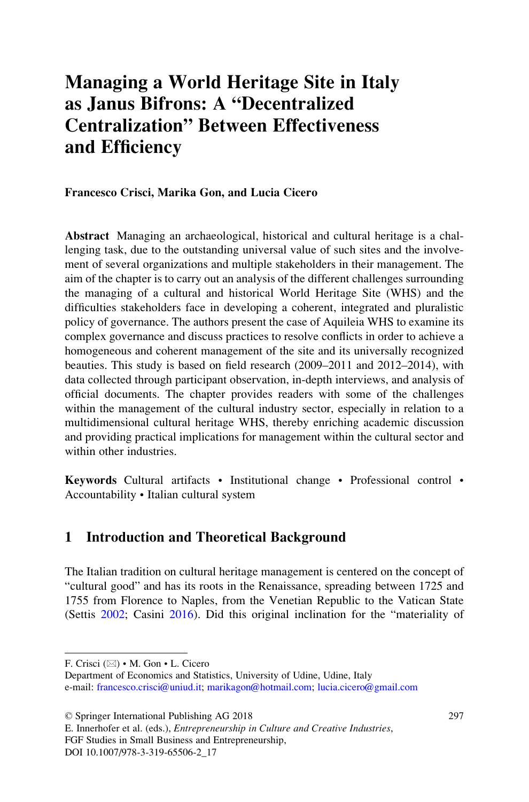# Managing a World Heritage Site in Italy as Janus Bifrons: A "Decentralized Centralization" Between Effectiveness and Efficiency

#### Francesco Crisci, Marika Gon, and Lucia Cicero

Abstract Managing an archaeological, historical and cultural heritage is a challenging task, due to the outstanding universal value of such sites and the involvement of several organizations and multiple stakeholders in their management. The aim of the chapter is to carry out an analysis of the different challenges surrounding the managing of a cultural and historical World Heritage Site (WHS) and the difficulties stakeholders face in developing a coherent, integrated and pluralistic policy of governance. The authors present the case of Aquileia WHS to examine its complex governance and discuss practices to resolve conflicts in order to achieve a homogeneous and coherent management of the site and its universally recognized beauties. This study is based on field research (2009–2011 and 2012–2014), with data collected through participant observation, in-depth interviews, and analysis of official documents. The chapter provides readers with some of the challenges within the management of the cultural industry sector, especially in relation to a multidimensional cultural heritage WHS, thereby enriching academic discussion and providing practical implications for management within the cultural sector and within other industries.

Keywords Cultural artifacts • Institutional change • Professional control • Accountability • Italian cultural system

### 1 Introduction and Theoretical Background

The Italian tradition on cultural heritage management is centered on the concept of "cultural good" and has its roots in the Renaissance, spreading between 1725 and 1755 from Florence to Naples, from the Venetian Republic to the Vatican State (Settis [2002;](#page-13-0) Casini [2016\)](#page-12-0). Did this original inclination for the "materiality of

Department of Economics and Statistics, University of Udine, Udine, Italy e-mail: [francesco.crisci@uniud.it](mailto:francesco.crisci@uniud.it); [marikagon@hotmail.com](mailto:marikagon@hotmail.com); [lucia.cicero@gmail.com](mailto:lucia.cicero@gmail.com)

F. Crisci (⊠) • M. Gon • L. Cicero

<sup>©</sup> Springer International Publishing AG 2018

E. Innerhofer et al. (eds.), Entrepreneurship in Culture and Creative Industries, FGF Studies in Small Business and Entrepreneurship,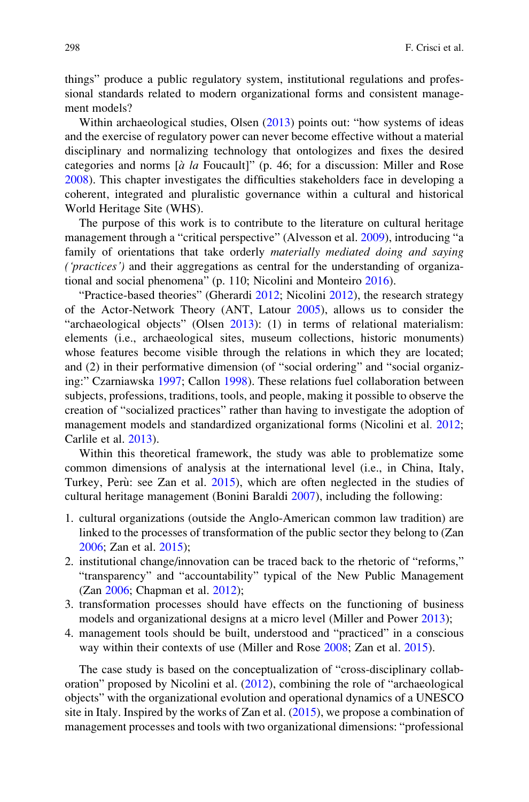things" produce a public regulatory system, institutional regulations and professional standards related to modern organizational forms and consistent management models?

Within archaeological studies, Olsen [\(2013](#page-13-1)) points out: "how systems of ideas and the exercise of regulatory power can never become effective without a material disciplinary and normalizing technology that ontologizes and fixes the desired categories and norms  $[\hat{a} \text{ } la \text{ Foucault}]$ " (p. 46; for a discussion: Miller and Rose [2008\)](#page-13-2). This chapter investigates the difficulties stakeholders face in developing a coherent, integrated and pluralistic governance within a cultural and historical World Heritage Site (WHS).

The purpose of this work is to contribute to the literature on cultural heritage management through a "critical perspective" (Alvesson et al. [2009\)](#page-12-1), introducing "a family of orientations that take orderly materially mediated doing and saying ('practices') and their aggregations as central for the understanding of organizational and social phenomena" (p. 110; Nicolini and Monteiro [2016](#page-13-3)).

"Practice-based theories" (Gherardi [2012](#page-13-4); Nicolini [2012\)](#page-13-5), the research strategy of the Actor-Network Theory (ANT, Latour [2005\)](#page-13-6), allows us to consider the "archaeological objects" (Olsen [2013](#page-13-1)): (1) in terms of relational materialism: elements (i.e., archaeological sites, museum collections, historic monuments) whose features become visible through the relations in which they are located; and (2) in their performative dimension (of "social ordering" and "social organizing:" Czarniawska [1997;](#page-12-2) Callon [1998\)](#page-12-3). These relations fuel collaboration between subjects, professions, traditions, tools, and people, making it possible to observe the creation of "socialized practices" rather than having to investigate the adoption of management models and standardized organizational forms (Nicolini et al. [2012;](#page-13-7) Carlile et al. [2013\)](#page-12-4).

Within this theoretical framework, the study was able to problematize some common dimensions of analysis at the international level (i.e., in China, Italy, Turkey, Perù: see Zan et al. [2015\)](#page-13-8), which are often neglected in the studies of cultural heritage management (Bonini Baraldi [2007](#page-12-5)), including the following:

- 1. cultural organizations (outside the Anglo-American common law tradition) are linked to the processes of transformation of the public sector they belong to (Zan [2006;](#page-13-9) Zan et al. [2015](#page-13-8));
- 2. institutional change/innovation can be traced back to the rhetoric of "reforms," "transparency" and "accountability" typical of the New Public Management (Zan [2006](#page-13-9); Chapman et al. [2012\)](#page-12-6);
- 3. transformation processes should have effects on the functioning of business models and organizational designs at a micro level (Miller and Power [2013](#page-13-10));
- 4. management tools should be built, understood and "practiced" in a conscious way within their contexts of use (Miller and Rose [2008](#page-13-2); Zan et al. [2015\)](#page-13-8).

The case study is based on the conceptualization of "cross-disciplinary collaboration" proposed by Nicolini et al. ([2012](#page-13-7)), combining the role of "archaeological objects" with the organizational evolution and operational dynamics of a UNESCO site in Italy. Inspired by the works of Zan et al. [\(2015](#page-13-8)), we propose a combination of management processes and tools with two organizational dimensions: "professional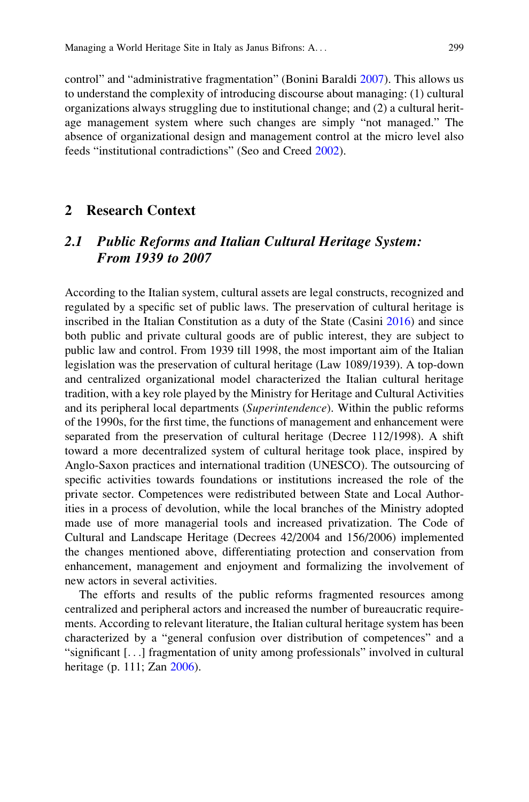control" and "administrative fragmentation" (Bonini Baraldi [2007](#page-12-5)). This allows us to understand the complexity of introducing discourse about managing: (1) cultural organizations always struggling due to institutional change; and (2) a cultural heritage management system where such changes are simply "not managed." The absence of organizational design and management control at the micro level also feeds "institutional contradictions" (Seo and Creed [2002\)](#page-13-11).

#### 2 Research Context

## 2.1 Public Reforms and Italian Cultural Heritage System: From 1939 to 2007

According to the Italian system, cultural assets are legal constructs, recognized and regulated by a specific set of public laws. The preservation of cultural heritage is inscribed in the Italian Constitution as a duty of the State (Casini [2016](#page-12-0)) and since both public and private cultural goods are of public interest, they are subject to public law and control. From 1939 till 1998, the most important aim of the Italian legislation was the preservation of cultural heritage (Law 1089/1939). A top-down and centralized organizational model characterized the Italian cultural heritage tradition, with a key role played by the Ministry for Heritage and Cultural Activities and its peripheral local departments (Superintendence). Within the public reforms of the 1990s, for the first time, the functions of management and enhancement were separated from the preservation of cultural heritage (Decree 112/1998). A shift toward a more decentralized system of cultural heritage took place, inspired by Anglo-Saxon practices and international tradition (UNESCO). The outsourcing of specific activities towards foundations or institutions increased the role of the private sector. Competences were redistributed between State and Local Authorities in a process of devolution, while the local branches of the Ministry adopted made use of more managerial tools and increased privatization. The Code of Cultural and Landscape Heritage (Decrees 42/2004 and 156/2006) implemented the changes mentioned above, differentiating protection and conservation from enhancement, management and enjoyment and formalizing the involvement of new actors in several activities.

The efforts and results of the public reforms fragmented resources among centralized and peripheral actors and increased the number of bureaucratic requirements. According to relevant literature, the Italian cultural heritage system has been characterized by a "general confusion over distribution of competences" and a "significant [...] fragmentation of unity among professionals" involved in cultural heritage (p. 111; Zan [2006\)](#page-13-9).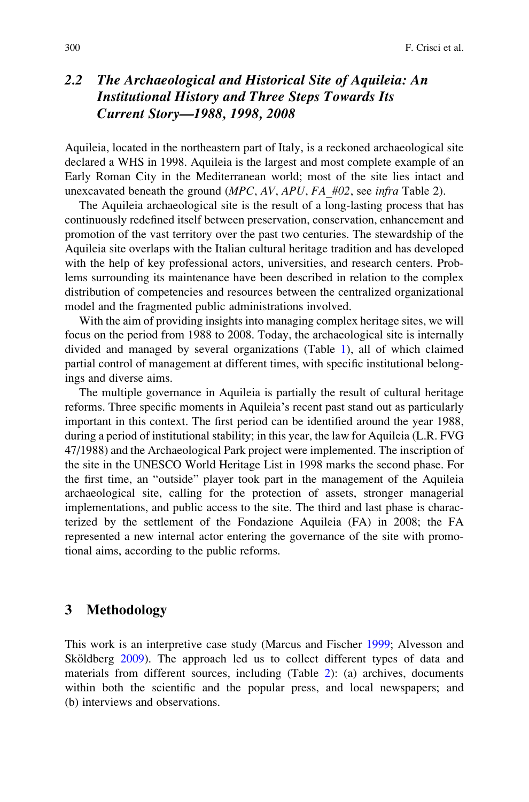# 2.2 The Archaeological and Historical Site of Aquileia: An Institutional History and Three Steps Towards Its Current Story—1988, 1998, 2008

Aquileia, located in the northeastern part of Italy, is a reckoned archaeological site declared a WHS in 1998. Aquileia is the largest and most complete example of an Early Roman City in the Mediterranean world; most of the site lies intact and unexcavated beneath the ground ( $MPC$ , AV, APU, FA  $#02$ , see infra Table 2).

The Aquileia archaeological site is the result of a long-lasting process that has continuously redefined itself between preservation, conservation, enhancement and promotion of the vast territory over the past two centuries. The stewardship of the Aquileia site overlaps with the Italian cultural heritage tradition and has developed with the help of key professional actors, universities, and research centers. Problems surrounding its maintenance have been described in relation to the complex distribution of competencies and resources between the centralized organizational model and the fragmented public administrations involved.

With the aim of providing insights into managing complex heritage sites, we will focus on the period from 1988 to 2008. Today, the archaeological site is internally divided and managed by several organizations (Table [1\)](#page-4-0), all of which claimed partial control of management at different times, with specific institutional belongings and diverse aims.

The multiple governance in Aquileia is partially the result of cultural heritage reforms. Three specific moments in Aquileia's recent past stand out as particularly important in this context. The first period can be identified around the year 1988, during a period of institutional stability; in this year, the law for Aquileia (L.R. FVG 47/1988) and the Archaeological Park project were implemented. The inscription of the site in the UNESCO World Heritage List in 1998 marks the second phase. For the first time, an "outside" player took part in the management of the Aquileia archaeological site, calling for the protection of assets, stronger managerial implementations, and public access to the site. The third and last phase is characterized by the settlement of the Fondazione Aquileia (FA) in 2008; the FA represented a new internal actor entering the governance of the site with promotional aims, according to the public reforms.

#### 3 Methodology

This work is an interpretive case study (Marcus and Fischer [1999](#page-13-12); Alvesson and Sköldberg [2009](#page-12-7)). The approach led us to collect different types of data and materials from different sources, including (Table [2\)](#page-5-0): (a) archives, documents within both the scientific and the popular press, and local newspapers; and (b) interviews and observations.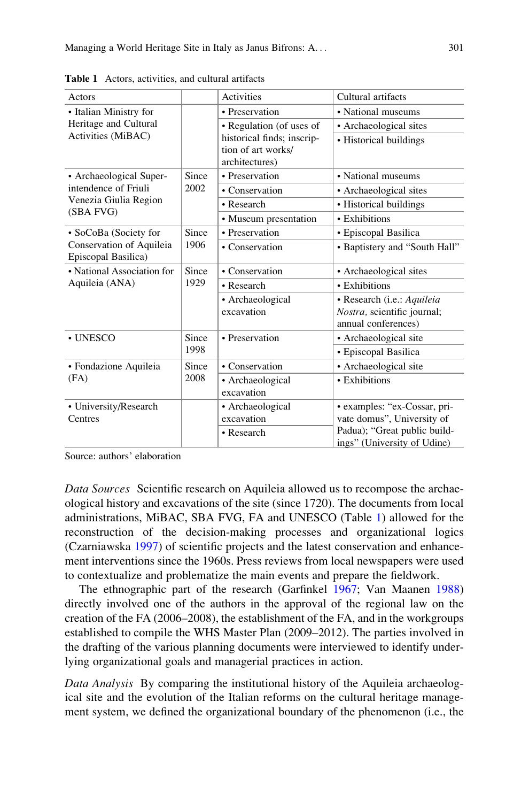| Actors                                          |               | <b>Activities</b>                                                  | Cultural artifacts                                                               |
|-------------------------------------------------|---------------|--------------------------------------------------------------------|----------------------------------------------------------------------------------|
| • Italian Ministry for                          |               | • Preservation                                                     | • National museums                                                               |
| Heritage and Cultural                           |               | • Regulation (of uses of                                           | • Archaeological sites                                                           |
| Activities (MiBAC)                              |               | historical finds; inscrip-<br>tion of art works/<br>architectures) | • Historical buildings                                                           |
| • Archaeological Super-                         | Since<br>2002 | • Preservation                                                     | • National museums                                                               |
| intendence of Friuli                            |               | • Conservation                                                     | • Archaeological sites                                                           |
| Venezia Giulia Region<br>(SBA FVG)              |               | • Research                                                         | • Historical buildings                                                           |
|                                                 |               | • Museum presentation                                              | • Exhibitions                                                                    |
| • SoCoBa (Society for                           | Since<br>1906 | • Preservation                                                     | • Episcopal Basilica                                                             |
| Conservation of Aquileia<br>Episcopal Basilica) |               | • Conservation                                                     | • Baptistery and "South Hall"                                                    |
| • National Association for                      | Since<br>1929 | • Conservation                                                     | • Archaeological sites                                                           |
| Aquileia (ANA)                                  |               | • Research                                                         | • Exhibitions                                                                    |
|                                                 |               | · Archaeological<br>excavation                                     | · Research (i.e.: Aquileia<br>Nostra, scientific journal;<br>annual conferences) |
| • UNESCO                                        | Since<br>1998 | • Preservation                                                     | • Archaeological site                                                            |
|                                                 |               |                                                                    | • Episcopal Basilica                                                             |
| • Fondazione Aquileia                           | Since<br>2008 | • Conservation                                                     | • Archaeological site                                                            |
| (FA)                                            |               | • Archaeological<br>excavation                                     | • Exhibitions                                                                    |
| • University/Research                           |               | • Archaeological                                                   | • examples: "ex-Cossar, pri-                                                     |
| Centres                                         |               | excavation                                                         | vate domus", University of                                                       |
|                                                 |               | • Research                                                         | Padua); "Great public build-<br>ings" (University of Udine)                      |

<span id="page-4-0"></span>Table 1 Actors, activities, and cultural artifacts

Source: authors' elaboration

Data Sources Scientific research on Aquileia allowed us to recompose the archaeological history and excavations of the site (since 1720). The documents from local administrations, MiBAC, SBA FVG, FA and UNESCO (Table [1](#page-4-0)) allowed for the reconstruction of the decision-making processes and organizational logics (Czarniawska [1997\)](#page-12-2) of scientific projects and the latest conservation and enhancement interventions since the 1960s. Press reviews from local newspapers were used to contextualize and problematize the main events and prepare the fieldwork.

The ethnographic part of the research (Garfinkel [1967;](#page-12-8) Van Maanen [1988](#page-13-13)) directly involved one of the authors in the approval of the regional law on the creation of the FA (2006–2008), the establishment of the FA, and in the workgroups established to compile the WHS Master Plan (2009–2012). The parties involved in the drafting of the various planning documents were interviewed to identify underlying organizational goals and managerial practices in action.

Data Analysis By comparing the institutional history of the Aquileia archaeological site and the evolution of the Italian reforms on the cultural heritage management system, we defined the organizational boundary of the phenomenon (i.e., the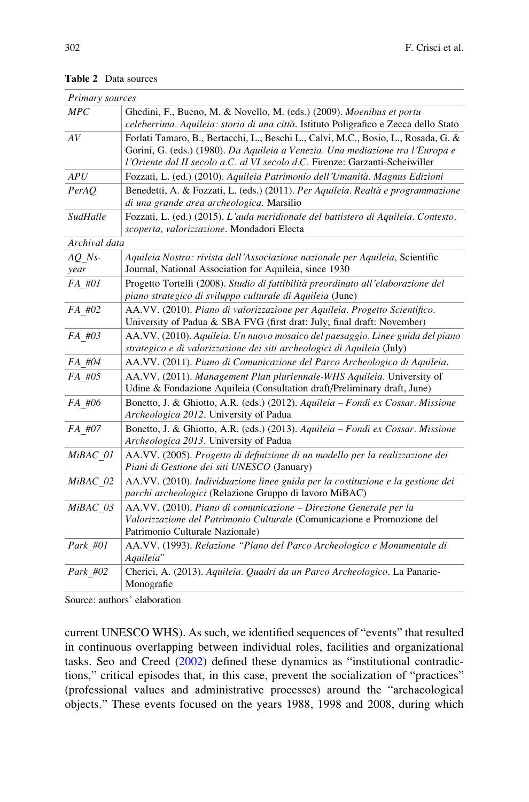| Primary sources      |                                                                                                                                                                                                                                                      |  |  |  |
|----------------------|------------------------------------------------------------------------------------------------------------------------------------------------------------------------------------------------------------------------------------------------------|--|--|--|
| MPC                  | Ghedini, F., Bueno, M. & Novello, M. (eds.) (2009). Moenibus et portu<br>celeberrima. Aquileia: storia di una città. Istituto Poligrafico e Zecca dello Stato                                                                                        |  |  |  |
| AV                   | Forlati Tamaro, B., Bertacchi, L., Beschi L., Calvi, M.C., Bosio, L., Rosada, G. &<br>Gorini, G. (eds.) (1980). Da Aquileia a Venezia. Una mediazione tra l'Europa e<br>l'Oriente dal II secolo a.C. al VI secolo d.C. Firenze: Garzanti-Scheiwiller |  |  |  |
| APU                  | Fozzati, L. (ed.) (2010). Aquileia Patrimonio dell'Umanità. Magnus Edizioni                                                                                                                                                                          |  |  |  |
| PerAQ                | Benedetti, A. & Fozzati, L. (eds.) (2011). Per Aquileia. Realtà e programmazione<br>di una grande area archeologica. Marsilio                                                                                                                        |  |  |  |
| <b>SudHalle</b>      | Fozzati, L. (ed.) (2015). L'aula meridionale del battistero di Aquileia. Contesto,<br>scoperta, valorizzazione. Mondadori Electa                                                                                                                     |  |  |  |
| Archival data        |                                                                                                                                                                                                                                                      |  |  |  |
| $AO$ Ns-<br>year     | Aquileia Nostra: rivista dell'Associazione nazionale per Aquileia, Scientific<br>Journal, National Association for Aquileia, since 1930                                                                                                              |  |  |  |
| $FA$ <sub>-#01</sub> | Progetto Tortelli (2008). Studio di fattibilità preordinato all'elaborazione del<br>piano strategico di sviluppo culturale di Aquileia (June)                                                                                                        |  |  |  |
| FA #02               | AA.VV. (2010). Piano di valorizzazione per Aquileia. Progetto Scientifico.<br>University of Padua & SBA FVG (first drat: July; final draft: November)                                                                                                |  |  |  |
| FA #03               | AA.VV. (2010). Aquileia. Un nuovo mosaico del paesaggio. Linee guida del piano<br>strategico e di valorizzazione dei siti archeologici di Aquileia (July)                                                                                            |  |  |  |
| FA #04               | AA.VV. (2011). Piano di Comunicazione del Parco Archeologico di Aquileia.                                                                                                                                                                            |  |  |  |
| FA #05               | AA.VV. (2011). Management Plan pluriennale-WHS Aquileia. University of<br>Udine & Fondazione Aquileia (Consultation draft/Preliminary draft, June)                                                                                                   |  |  |  |
| FA #06               | Bonetto, J. & Ghiotto, A.R. (eds.) (2012). Aquileia - Fondi ex Cossar. Missione<br>Archeologica 2012. University of Padua                                                                                                                            |  |  |  |
| FA #07               | Bonetto, J. & Ghiotto, A.R. (eds.) (2013). Aquileia - Fondi ex Cossar. Missione<br>Archeologica 2013. University of Padua                                                                                                                            |  |  |  |
| MiBAC 01             | AA.VV. (2005). Progetto di definizione di un modello per la realizzazione dei<br>Piani di Gestione dei siti UNESCO (January)                                                                                                                         |  |  |  |
| MiBAC 02             | AA.VV. (2010). Individuazione linee guida per la costituzione e la gestione dei<br>parchi archeologici (Relazione Gruppo di lavoro MiBAC)                                                                                                            |  |  |  |
| MiBAC 03             | AA.VV. (2010). Piano di comunicazione - Direzione Generale per la<br>Valorizzazione del Patrimonio Culturale (Comunicazione e Promozione del<br>Patrimonio Culturale Nazionale)                                                                      |  |  |  |
| Park #01             | AA.VV. (1993). Relazione "Piano del Parco Archeologico e Monumentale di<br>Aquileia"                                                                                                                                                                 |  |  |  |
| Park #02             | Cherici, A. (2013). Aquileia. Quadri da un Parco Archeologico. La Panarie-<br>Monografie                                                                                                                                                             |  |  |  |

#### <span id="page-5-0"></span>Table 2 Data sources

Source: authors' elaboration

current UNESCO WHS). As such, we identified sequences of "events" that resulted in continuous overlapping between individual roles, facilities and organizational tasks. Seo and Creed ([2002\)](#page-13-11) defined these dynamics as "institutional contradictions," critical episodes that, in this case, prevent the socialization of "practices" (professional values and administrative processes) around the "archaeological objects." These events focused on the years 1988, 1998 and 2008, during which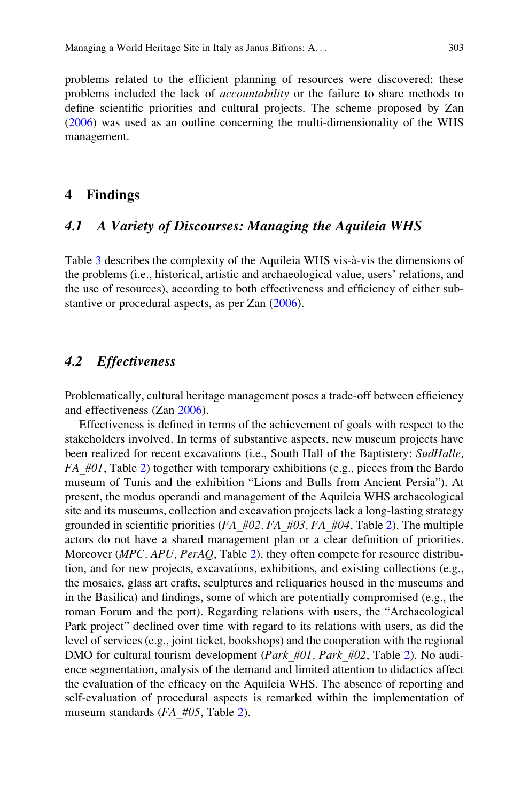problems related to the efficient planning of resources were discovered; these problems included the lack of accountability or the failure to share methods to define scientific priorities and cultural projects. The scheme proposed by Zan [\(2006](#page-13-9)) was used as an outline concerning the multi-dimensionality of the WHS management.

#### 4 Findings

#### 4.1 A Variety of Discourses: Managing the Aquileia WHS

Table [3](#page-7-0) describes the complexity of the Aquileia WHS vis-a-vis the dimensions of the problems (i.e., historical, artistic and archaeological value, users' relations, and the use of resources), according to both effectiveness and efficiency of either substantive or procedural aspects, as per Zan [\(2006](#page-13-9)).

#### 4.2 Effectiveness

Problematically, cultural heritage management poses a trade-off between efficiency and effectiveness (Zan [2006\)](#page-13-9).

Effectiveness is defined in terms of the achievement of goals with respect to the stakeholders involved. In terms of substantive aspects, new museum projects have been realized for recent excavations (i.e., South Hall of the Baptistery: SudHalle,  $FA$  #01, Table [2\)](#page-5-0) together with temporary exhibitions (e.g., pieces from the Bardo museum of Tunis and the exhibition "Lions and Bulls from Ancient Persia"). At present, the modus operandi and management of the Aquileia WHS archaeological site and its museums, collection and excavation projects lack a long-lasting strategy grounded in scientific priorities ( $FA$  #02,  $FA$  #03,  $FA$  #04, Table [2\)](#page-5-0). The multiple actors do not have a shared management plan or a clear definition of priorities. Moreover (MPC, APU, PerAQ, Table [2](#page-5-0)), they often compete for resource distribution, and for new projects, excavations, exhibitions, and existing collections (e.g., the mosaics, glass art crafts, sculptures and reliquaries housed in the museums and in the Basilica) and findings, some of which are potentially compromised (e.g., the roman Forum and the port). Regarding relations with users, the "Archaeological Park project" declined over time with regard to its relations with users, as did the level of services (e.g., joint ticket, bookshops) and the cooperation with the regional DMO for cultural tourism development (*Park #01, Park #02,* Table [2\)](#page-5-0). No audience segmentation, analysis of the demand and limited attention to didactics affect the evaluation of the efficacy on the Aquileia WHS. The absence of reporting and self-evaluation of procedural aspects is remarked within the implementation of museum standards (FA #05, Table [2\)](#page-5-0).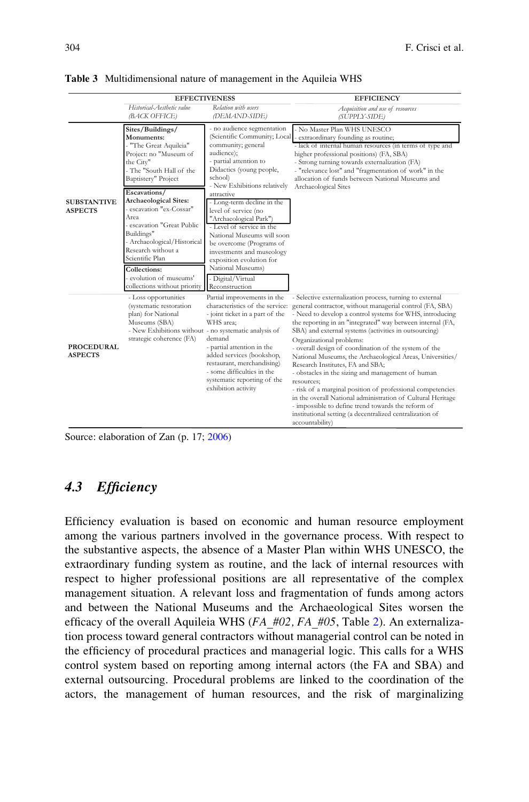|                                      | <b>EFFECTIVENESS</b>                                                                                                                                                                                                                                                                                                                                          |                                                                                                                                                                                                                                                                                                                                                                                                                                    | <b>EFFICIENCY</b>                                                                                                                                                                                                                                                                                                                                                                                                                                                                                                                                  |  |
|--------------------------------------|---------------------------------------------------------------------------------------------------------------------------------------------------------------------------------------------------------------------------------------------------------------------------------------------------------------------------------------------------------------|------------------------------------------------------------------------------------------------------------------------------------------------------------------------------------------------------------------------------------------------------------------------------------------------------------------------------------------------------------------------------------------------------------------------------------|----------------------------------------------------------------------------------------------------------------------------------------------------------------------------------------------------------------------------------------------------------------------------------------------------------------------------------------------------------------------------------------------------------------------------------------------------------------------------------------------------------------------------------------------------|--|
|                                      | Historical-Aesthetic value<br>(BACK OFFICE)                                                                                                                                                                                                                                                                                                                   | Relation with users<br>(DEMAND-SIDE)                                                                                                                                                                                                                                                                                                                                                                                               | Acquisition and use of resources<br>(SUPPLY-SIDE)                                                                                                                                                                                                                                                                                                                                                                                                                                                                                                  |  |
| <b>SUBSTANTIVE</b><br><b>ASPECTS</b> | Sites/Buildings/<br>Monuments:<br>"The Great Aquileia"<br>Project: no "Museum of<br>the City"<br>- The "South Hall of the<br>Baptistery" Project<br>Escavations/<br>Archaeological Sites:<br>escavation "ex-Cossar"<br>Area<br>escavation "Great Public<br>Buildings"<br>- Archaeological/Historical<br>Research without a<br>Scientific Plan<br>Collections: | - no audience segmentation<br>community; general<br>audience);<br>- partial attention to<br>Didactics (young people,<br>school)<br>- New Exhibitions relatively<br>attractive<br>- Long-term decline in the<br>level of service (no<br>"Archaeological Park")<br>- Level of service in the<br>National Museums will soon<br>be overcome (Programs of<br>investments and museology<br>exposition evolution for<br>National Museums) | - No Master Plan WHS UNESCO<br>(Scientific Community; Local - extraordinary founding as routine;<br>- lack of internal human resources (in terms of type and<br>higher professional positions) (FA, SBA)<br>- Strong turning towards externalization (FA)<br>- "relevance lost" and "fragmentation of work" in the<br>allocation of funds between National Museums and<br>Archaeological Sites                                                                                                                                                     |  |
| <b>PROCEDURAL</b><br><b>ASPECTS</b>  | evolution of museums'<br>collections without priority<br>- Loss opportunities<br>(systematic restoration<br>plan) for National<br>Museums (SBA)<br>- New Exhibitions without - no systematic analysis of<br>strategic coherence (FA)                                                                                                                          | - Digital/Virtual<br>Reconstruction<br>Partial improvements in the<br>characteristics of the service:<br>- joint ticket in a part of the<br>WHS area;<br>demand<br>- partial attention in the<br>added services (bookshop,<br>restaurant, merchandising)<br>- some difficulties in the                                                                                                                                             | - Selective externalization process, turning to external<br>general contractor, without managerial control (FA, SBA)<br>- Need to develop a control systems for WHS, introducing<br>the reporting in an "integrated" way between internal (FA,<br>SBA) and external systems (activities in outsourcing)<br>Organizational problems:<br>- overall design of coordination of the system of the<br>National Museums, the Archaeological Areas, Universities/<br>Research Institutes, FA and SBA;<br>- obstacles in the sizing and management of human |  |
|                                      |                                                                                                                                                                                                                                                                                                                                                               | systematic reporting of the<br>exhibition activity                                                                                                                                                                                                                                                                                                                                                                                 | resources:<br>- risk of a marginal position of professional competencies<br>in the overall National administration of Cultural Heritage<br>- impossible to define trend towards the reform of<br>institutional setting (a decentralized centralization of<br>accountability)                                                                                                                                                                                                                                                                       |  |

<span id="page-7-0"></span>Table 3 Multidimensional nature of management in the Aquileia WHS

Source: elaboration of Zan (p. 17; [2006\)](#page-13-9)

### 4.3 Efficiency

Efficiency evaluation is based on economic and human resource employment among the various partners involved in the governance process. With respect to the substantive aspects, the absence of a Master Plan within WHS UNESCO, the extraordinary funding system as routine, and the lack of internal resources with respect to higher professional positions are all representative of the complex management situation. A relevant loss and fragmentation of funds among actors and between the National Museums and the Archaeological Sites worsen the efficacy of the overall Aquileia WHS (FA  $#02$ , FA  $#05$ , Table [2\)](#page-5-0). An externalization process toward general contractors without managerial control can be noted in the efficiency of procedural practices and managerial logic. This calls for a WHS control system based on reporting among internal actors (the FA and SBA) and external outsourcing. Procedural problems are linked to the coordination of the actors, the management of human resources, and the risk of marginalizing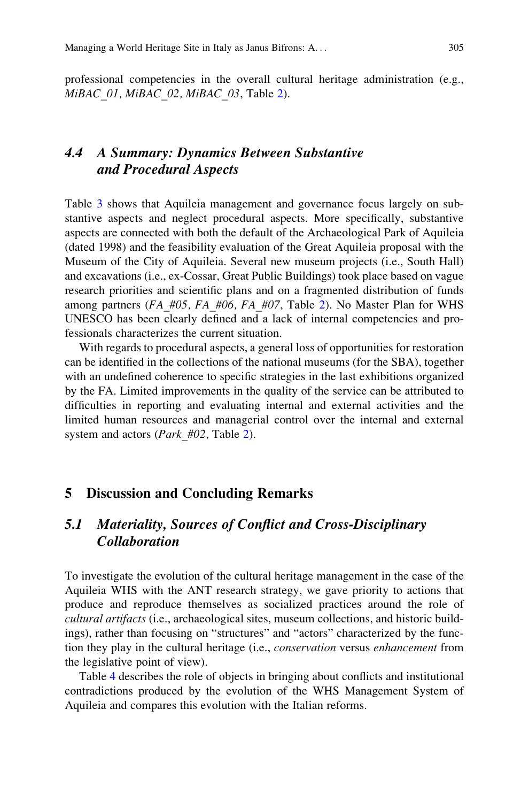professional competencies in the overall cultural heritage administration (e.g., MiBAC\_01, MiBAC\_0[2](#page-5-0), MiBAC\_03, Table 2).

# 4.4 A Summary: Dynamics Between Substantive and Procedural Aspects

Table [3](#page-7-0) shows that Aquileia management and governance focus largely on substantive aspects and neglect procedural aspects. More specifically, substantive aspects are connected with both the default of the Archaeological Park of Aquileia (dated 1998) and the feasibility evaluation of the Great Aquileia proposal with the Museum of the City of Aquileia. Several new museum projects (i.e., South Hall) and excavations (i.e., ex-Cossar, Great Public Buildings) took place based on vague research priorities and scientific plans and on a fragmented distribution of funds among partners (FA #05, FA #06, FA #07, Table [2](#page-5-0)). No Master Plan for WHS UNESCO has been clearly defined and a lack of internal competencies and professionals characterizes the current situation.

With regards to procedural aspects, a general loss of opportunities for restoration can be identified in the collections of the national museums (for the SBA), together with an undefined coherence to specific strategies in the last exhibitions organized by the FA. Limited improvements in the quality of the service can be attributed to difficulties in reporting and evaluating internal and external activities and the limited human resources and managerial control over the internal and external system and actors (*Park*  $#02$  $#02$ , Table 2).

## 5 Discussion and Concluding Remarks

## 5.1 Materiality, Sources of Conflict and Cross-Disciplinary Collaboration

To investigate the evolution of the cultural heritage management in the case of the Aquileia WHS with the ANT research strategy, we gave priority to actions that produce and reproduce themselves as socialized practices around the role of cultural artifacts (i.e., archaeological sites, museum collections, and historic buildings), rather than focusing on "structures" and "actors" characterized by the function they play in the cultural heritage (i.e., conservation versus enhancement from the legislative point of view).

Table [4](#page-9-0) describes the role of objects in bringing about conflicts and institutional contradictions produced by the evolution of the WHS Management System of Aquileia and compares this evolution with the Italian reforms.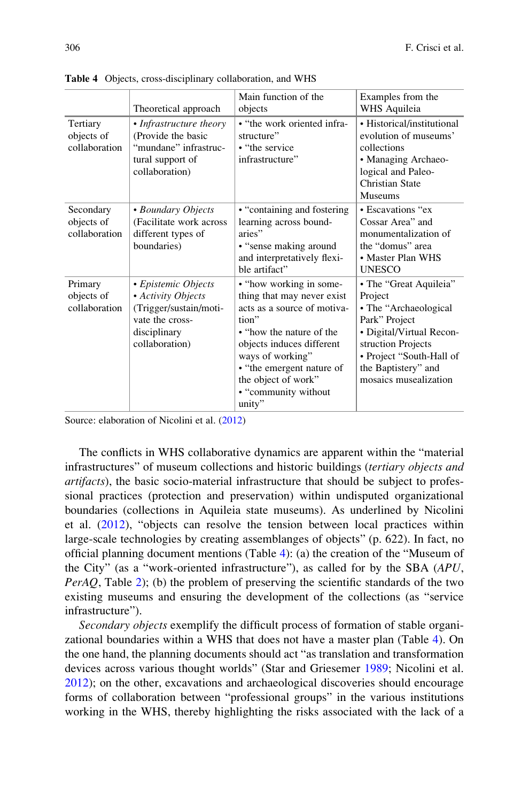|                                          | Theoretical approach                                                                                                     | Main function of the<br>objects                                                                                                                                                                                                                                  | Examples from the<br>WHS Aquileia                                                                                                                                                                          |
|------------------------------------------|--------------------------------------------------------------------------------------------------------------------------|------------------------------------------------------------------------------------------------------------------------------------------------------------------------------------------------------------------------------------------------------------------|------------------------------------------------------------------------------------------------------------------------------------------------------------------------------------------------------------|
| Tertiary<br>objects of<br>collaboration  | • Infrastructure theory<br>(Provide the basic<br>"mundane" infrastruc-<br>tural support of<br>collaboration)             | • "the work oriented infra-<br>structure"<br>• "the service<br>infrastructure"                                                                                                                                                                                   | • Historical/institutional<br>evolution of museums'<br>collections<br>• Managing Archaeo-<br>logical and Paleo-<br><b>Christian State</b><br><b>Museums</b>                                                |
| Secondary<br>objects of<br>collaboration | • Boundary Objects<br>(Facilitate work across<br>different types of<br>boundaries)                                       | • "containing and fostering<br>learning across bound-<br>aries"<br>• "sense making around"<br>and interpretatively flexi-<br>ble artifact"                                                                                                                       | • Escavations "ex-<br>Cossar Area" and<br>monumentalization of<br>the "domus" area<br>• Master Plan WHS<br><b>UNESCO</b>                                                                                   |
| Primary<br>objects of<br>collaboration   | • Epistemic Objects<br>• Activity Objects<br>(Trigger/sustain/moti-<br>vate the cross-<br>disciplinary<br>collaboration) | • "how working in some-<br>thing that may never exist<br>acts as a source of motiva-<br>tion"<br>• "how the nature of the<br>objects induces different<br>ways of working"<br>• "the emergent nature of<br>the object of work"<br>• "community without<br>unity" | • The "Great Aquileia"<br>Project<br>• The "Archaeological"<br>Park" Project<br>• Digital/Virtual Recon-<br>struction Projects<br>• Project "South-Hall of<br>the Baptistery" and<br>mosaics musealization |

<span id="page-9-0"></span>Table 4 Objects, cross-disciplinary collaboration, and WHS

Source: elaboration of Nicolini et al. ([2012](#page-13-7))

The conflicts in WHS collaborative dynamics are apparent within the "material infrastructures" of museum collections and historic buildings (tertiary objects and artifacts), the basic socio-material infrastructure that should be subject to professional practices (protection and preservation) within undisputed organizational boundaries (collections in Aquileia state museums). As underlined by Nicolini et al. [\(2012](#page-13-7)), "objects can resolve the tension between local practices within large-scale technologies by creating assemblanges of objects" (p. 622). In fact, no official planning document mentions (Table [4](#page-9-0)): (a) the creation of the "Museum of the City" (as a "work-oriented infrastructure"), as called for by the SBA (APU, *PerAQ*, Table [2\)](#page-5-0); (b) the problem of preserving the scientific standards of the two existing museums and ensuring the development of the collections (as "service infrastructure").

Secondary objects exemplify the difficult process of formation of stable organizational boundaries within a WHS that does not have a master plan (Table [4\)](#page-9-0). On the one hand, the planning documents should act "as translation and transformation devices across various thought worlds" (Star and Griesemer [1989;](#page-13-14) Nicolini et al. [2012\)](#page-13-7); on the other, excavations and archaeological discoveries should encourage forms of collaboration between "professional groups" in the various institutions working in the WHS, thereby highlighting the risks associated with the lack of a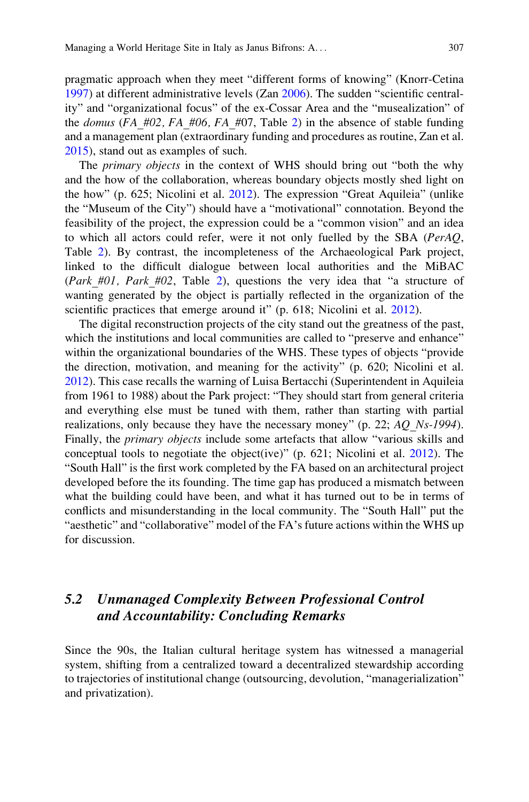pragmatic approach when they meet "different forms of knowing" (Knorr-Cetina [1997\)](#page-13-15) at different administrative levels (Zan [2006](#page-13-9)). The sudden "scientific centrality" and "organizational focus" of the ex-Cossar Area and the "musealization" of the *domus* (FA  $#02$ , FA  $#06$ , FA  $#07$ , Table [2\)](#page-5-0) in the absence of stable funding and a management plan (extraordinary funding and procedures as routine, Zan et al. [2015\)](#page-13-8), stand out as examples of such.

The *primary objects* in the context of WHS should bring out "both the why and the how of the collaboration, whereas boundary objects mostly shed light on the how" (p. 625; Nicolini et al. [2012](#page-13-7)). The expression "Great Aquileia" (unlike the "Museum of the City") should have a "motivational" connotation. Beyond the feasibility of the project, the expression could be a "common vision" and an idea to which all actors could refer, were it not only fuelled by the SBA (PerAQ, Table [2](#page-5-0)). By contrast, the incompleteness of the Archaeological Park project, linked to the difficult dialogue between local authorities and the MiBAC (Park #01, Park #02, Table [2\)](#page-5-0), questions the very idea that "a structure of wanting generated by the object is partially reflected in the organization of the scientific practices that emerge around it" (p. 618; Nicolini et al. [2012\)](#page-13-7).

The digital reconstruction projects of the city stand out the greatness of the past, which the institutions and local communities are called to "preserve and enhance" within the organizational boundaries of the WHS. These types of objects "provide the direction, motivation, and meaning for the activity" (p. 620; Nicolini et al. [2012\)](#page-13-7). This case recalls the warning of Luisa Bertacchi (Superintendent in Aquileia from 1961 to 1988) about the Park project: "They should start from general criteria and everything else must be tuned with them, rather than starting with partial realizations, only because they have the necessary money" (p. 22; AQ\_Ns-1994). Finally, the *primary objects* include some artefacts that allow "various skills and conceptual tools to negotiate the object(ive)" (p. 621; Nicolini et al. [2012](#page-13-7)). The "South Hall" is the first work completed by the FA based on an architectural project developed before the its founding. The time gap has produced a mismatch between what the building could have been, and what it has turned out to be in terms of conflicts and misunderstanding in the local community. The "South Hall" put the "aesthetic" and "collaborative" model of the FA's future actions within the WHS up for discussion.

## 5.2 Unmanaged Complexity Between Professional Control and Accountability: Concluding Remarks

Since the 90s, the Italian cultural heritage system has witnessed a managerial system, shifting from a centralized toward a decentralized stewardship according to trajectories of institutional change (outsourcing, devolution, "managerialization" and privatization).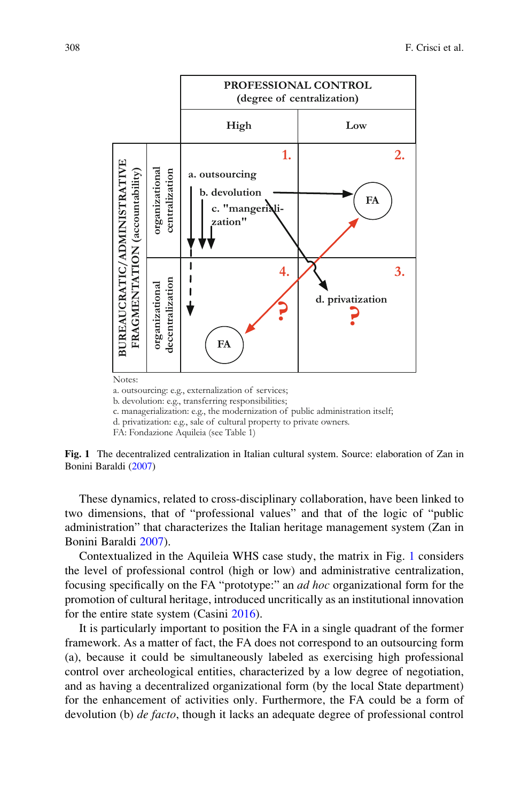<span id="page-11-0"></span>

a. outsourcing: e.g., externalization of services;

b. devolution: e.g., transferring responsibilities;

c. managerialization: e.g., the modernization of public administration itself;

d. privatization: e.g., sale of cultural property to private owners.

FA: Fondazione Aquileia (see Table 1)

Fig. 1 The decentralized centralization in Italian cultural system. Source: elaboration of Zan in Bonini Baraldi ([2007\)](#page-12-5)

These dynamics, related to cross-disciplinary collaboration, have been linked to two dimensions, that of "professional values" and that of the logic of "public administration" that characterizes the Italian heritage management system (Zan in Bonini Baraldi [2007](#page-12-5)).

Contextualized in the Aquileia WHS case study, the matrix in Fig. [1](#page-11-0) considers the level of professional control (high or low) and administrative centralization, focusing specifically on the FA "prototype:" an *ad hoc* organizational form for the promotion of cultural heritage, introduced uncritically as an institutional innovation for the entire state system (Casini [2016](#page-12-0)).

It is particularly important to position the FA in a single quadrant of the former framework. As a matter of fact, the FA does not correspond to an outsourcing form (a), because it could be simultaneously labeled as exercising high professional control over archeological entities, characterized by a low degree of negotiation, and as having a decentralized organizational form (by the local State department) for the enhancement of activities only. Furthermore, the FA could be a form of devolution (b) *de facto*, though it lacks an adequate degree of professional control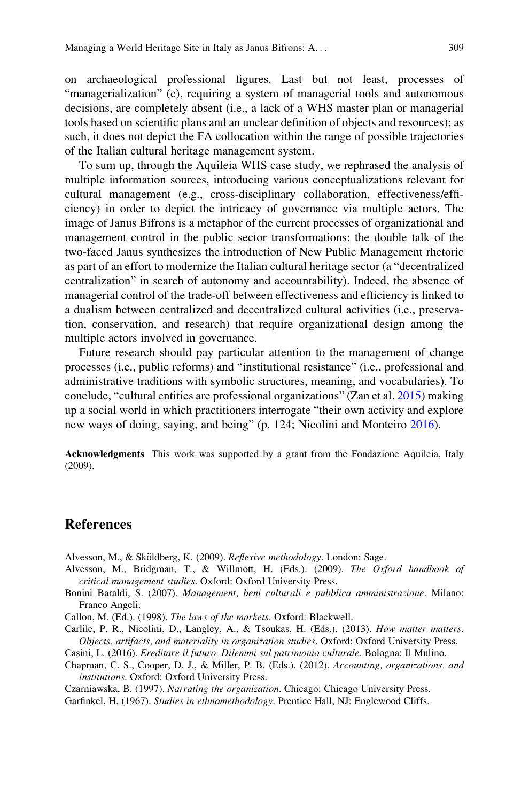on archaeological professional figures. Last but not least, processes of "managerialization" (c), requiring a system of managerial tools and autonomous decisions, are completely absent (i.e., a lack of a WHS master plan or managerial tools based on scientific plans and an unclear definition of objects and resources); as such, it does not depict the FA collocation within the range of possible trajectories of the Italian cultural heritage management system.

To sum up, through the Aquileia WHS case study, we rephrased the analysis of multiple information sources, introducing various conceptualizations relevant for cultural management (e.g., cross-disciplinary collaboration, effectiveness/efficiency) in order to depict the intricacy of governance via multiple actors. The image of Janus Bifrons is a metaphor of the current processes of organizational and management control in the public sector transformations: the double talk of the two-faced Janus synthesizes the introduction of New Public Management rhetoric as part of an effort to modernize the Italian cultural heritage sector (a "decentralized centralization" in search of autonomy and accountability). Indeed, the absence of managerial control of the trade-off between effectiveness and efficiency is linked to a dualism between centralized and decentralized cultural activities (i.e., preservation, conservation, and research) that require organizational design among the multiple actors involved in governance.

Future research should pay particular attention to the management of change processes (i.e., public reforms) and "institutional resistance" (i.e., professional and administrative traditions with symbolic structures, meaning, and vocabularies). To conclude, "cultural entities are professional organizations" (Zan et al. [2015](#page-13-8)) making up a social world in which practitioners interrogate "their own activity and explore new ways of doing, saying, and being" (p. 124; Nicolini and Monteiro [2016\)](#page-13-3).

Acknowledgments This work was supported by a grant from the Fondazione Aquileia, Italy (2009).

#### References

<span id="page-12-7"></span><span id="page-12-1"></span>Alvesson, M., & Sköldberg, K. (2009). Reflexive methodology. London: Sage.

- <span id="page-12-5"></span>Alvesson, M., Bridgman, T., & Willmott, H. (Eds.). (2009). The Oxford handbook of critical management studies. Oxford: Oxford University Press.
- <span id="page-12-3"></span>Bonini Baraldi, S. (2007). Management, beni culturali e pubblica amministrazione. Milano: Franco Angeli.
- <span id="page-12-4"></span>Callon, M. (Ed.). (1998). The laws of the markets. Oxford: Blackwell.
- Carlile, P. R., Nicolini, D., Langley, A., & Tsoukas, H. (Eds.). (2013). How matter matters. Objects, artifacts, and materiality in organization studies. Oxford: Oxford University Press.
- <span id="page-12-6"></span><span id="page-12-0"></span>Casini, L. (2016). Ereditare il futuro. Dilemmi sul patrimonio culturale. Bologna: Il Mulino.
- Chapman, C. S., Cooper, D. J., & Miller, P. B. (Eds.). (2012). Accounting, organizations, and institutions. Oxford: Oxford University Press.

<span id="page-12-8"></span><span id="page-12-2"></span>Czarniawska, B. (1997). Narrating the organization. Chicago: Chicago University Press.

Garfinkel, H. (1967). Studies in ethnomethodology. Prentice Hall, NJ: Englewood Cliffs.